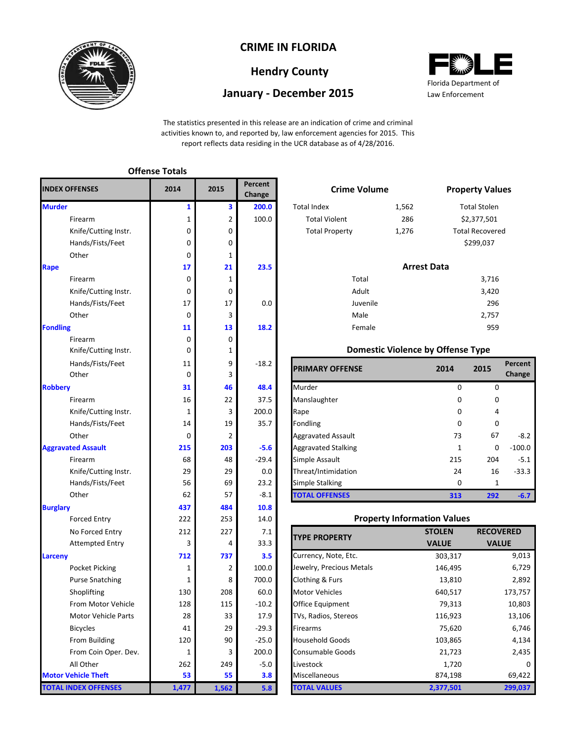

### **CRIME IN FLORIDA**

# **Hendry County**

## **January - December 2015**



The statistics presented in this release are an indication of crime and criminal activities known to, and reported by, law enforcement agencies for 2015. This report reflects data residing in the UCR database as of 4/28/2016.

| <b>INDEX OFFENSES</b>       | 2014         | 2015           | Percent<br>Change | <b>Crime Volume</b>               |                                          |                    | <b>Property Val</b> |
|-----------------------------|--------------|----------------|-------------------|-----------------------------------|------------------------------------------|--------------------|---------------------|
| <b>Murder</b>               | 1            | 3              | 200.0             | <b>Total Index</b>                | 1,562                                    |                    | <b>Total Stolen</b> |
| Firearm                     | 1            | $\overline{2}$ | 100.0             | <b>Total Violent</b>              | 286                                      | \$2,377,501        |                     |
| Knife/Cutting Instr.        | 0            | 0              |                   | <b>Total Property</b>             | 1,276                                    |                    | Total Recover       |
| Hands/Fists/Feet            | 0            | 0              |                   |                                   |                                          |                    | \$299,037           |
| Other                       | 0            | 1              |                   |                                   |                                          |                    |                     |
| Rape                        | 17           | 21             | 23.5              |                                   |                                          | <b>Arrest Data</b> |                     |
| Firearm                     | 0            | 1              |                   | Total                             |                                          |                    | 3,716               |
| Knife/Cutting Instr.        | 0            | 0              |                   | Adult                             |                                          |                    | 3,420               |
| Hands/Fists/Feet            | 17           | 17             | 0.0               | Juvenile                          |                                          |                    | 296                 |
| Other                       | 0            | 3              |                   | Male                              |                                          |                    | 2,757               |
| <b>Fondling</b>             | 11           | 13             | 18.2              | Female                            |                                          |                    | 959                 |
| Firearm                     | 0            | 0              |                   |                                   |                                          |                    |                     |
| Knife/Cutting Instr.        | 0            | 1              |                   |                                   | <b>Domestic Violence by Offense Type</b> |                    |                     |
| Hands/Fists/Feet            | 11           | 9              | $-18.2$           | <b>PRIMARY OFFENSE</b>            |                                          | 2014               | 2015                |
| Other                       | 0            | 3              |                   |                                   |                                          |                    |                     |
| <b>Robbery</b>              | 31           | 46             | 48.4              | Murder                            |                                          | 0                  | 0                   |
| Firearm                     | 16           | 22             | 37.5              | Manslaughter                      |                                          | 0                  | 0                   |
| Knife/Cutting Instr.        | $\mathbf{1}$ | 3              | 200.0             | Rape                              |                                          | 0                  |                     |
| Hands/Fists/Feet            | 14           | 19             | 35.7              | Fondling                          |                                          | 0                  | 0                   |
| Other                       | 0            | 2              |                   | <b>Aggravated Assault</b>         |                                          | 73                 | 67                  |
| <b>Aggravated Assault</b>   | 215          | 203            | $-5.6$            | <b>Aggravated Stalking</b>        |                                          | $\mathbf{1}$       | 0                   |
| Firearm                     | 68           | 48             | $-29.4$           | Simple Assault                    |                                          | 215                | 204                 |
| Knife/Cutting Instr.        | 29           | 29             | 0.0               | Threat/Intimidation               |                                          | 24                 | 16                  |
| Hands/Fists/Feet            | 56           | 69             | 23.2              | Simple Stalking                   |                                          | 0                  | $\mathbf{1}$        |
| Other                       | 62           | 57             | $-8.1$            | <b>TOTAL OFFENSES</b>             |                                          | 313                | 292                 |
| <b>Burglary</b>             | 437          | 484            | 10.8              |                                   |                                          |                    |                     |
| <b>Forced Entry</b>         | 222          | 253            | 14.0              |                                   | <b>Property Information Values</b>       |                    |                     |
| No Forced Entry             | 212          | 227            | 7.1               | <b>TYPE PROPERTY</b>              |                                          | <b>STOLEN</b>      | <b>RECO</b>         |
| <b>Attempted Entry</b>      | 3            | 4              | 33.3              |                                   |                                          | <b>VALUE</b>       | <b>VA</b>           |
| Larceny                     | 712          | 737            | 3.5               | Currency, Note, Etc.              |                                          | 303,317            |                     |
| <b>Pocket Picking</b>       | 1            | $\overline{2}$ | 100.0             | Jewelry, Precious Metals          |                                          | 146,495            |                     |
| <b>Purse Snatching</b>      | 1            | 8              | 700.0             | Clothing & Furs                   |                                          | 13,810             |                     |
| Shoplifting                 | 130          | 208            | 60.0              | <b>Motor Vehicles</b>             |                                          | 640,517            |                     |
| From Motor Vehicle          | 128          | 115            | $-10.2$           | Office Equipment                  |                                          | 79,313             |                     |
| Motor Vehicle Parts         | 28           | 33             | 17.9              | 116,923<br>TVs, Radios, Stereos   |                                          |                    |                     |
| <b>Bicycles</b>             | 41           | 29             | $-29.3$           | 75,620<br>Firearms                |                                          |                    |                     |
| From Building               | 120          | 90             | $-25.0$           | <b>Household Goods</b><br>103,865 |                                          |                    |                     |
| From Coin Oper. Dev.        | 1            | 3              | 200.0             | <b>Consumable Goods</b><br>21,723 |                                          |                    |                     |
| All Other                   | 262          | 249            | $-5.0$            | Livestock<br>1,720                |                                          |                    |                     |
| <b>Motor Vehicle Theft</b>  | 53           | 55             | 3.8               | Miscellaneous                     |                                          | 874,198            |                     |
| <b>TOTAL INDEX OFFENSES</b> | 1,477        | 1,562          | 5.8               | <b>TOTAL VALUES</b>               |                                          | 2,377,501          |                     |

**Offense Totals**

|                         | Percent<br>Change | <b>Crime Volume</b>   |                    | <b>Property Values</b> |
|-------------------------|-------------------|-----------------------|--------------------|------------------------|
| $\overline{\mathbf{3}}$ | 200.0             | <b>Total Index</b>    | 1,562              | <b>Total Stolen</b>    |
| $\overline{2}$          | 100.0             | <b>Total Violent</b>  | 286                | \$2,377,501            |
| $\mathbf 0$             |                   | <b>Total Property</b> | 1,276              | <b>Total Recovered</b> |
| $\mathbf 0$             |                   |                       |                    | \$299,037              |
| $\mathbf{1}$            |                   |                       |                    |                        |
| 21                      | 23.5              |                       | <b>Arrest Data</b> |                        |
| $\mathbf{1}$            |                   | Total                 |                    | 3,716                  |
| $\mathbf 0$             |                   | Adult                 |                    | 3,420                  |
| 17                      | 0.0               | Juvenile              |                    | 296                    |
| 3                       |                   | Male                  |                    | 2,757                  |
| 13                      | 18.2              | Female                |                    | 959                    |
| $\mathbf 0$             |                   |                       |                    |                        |
|                         |                   |                       |                    | .                      |

### **Domestic Violence by Offense Type**

| Hands/Fists/Feet     | 11          | 9              | $-18.2$ | <b>PRIMARY OFFENSE</b>     | 2014     | 2015     | Percent  |
|----------------------|-------------|----------------|---------|----------------------------|----------|----------|----------|
| Other                | 0           | 3              |         |                            |          |          | Change   |
|                      | 31          | 46             | 48.4    | Murder                     | 0        | $\Omega$ |          |
| Firearm              | 16          | 22             | 37.5    | Manslaughter               | $\Omega$ | $\Omega$ |          |
| Knife/Cutting Instr. |             | 3              | 200.0   | Rape                       | $\Omega$ | 4        |          |
| Hands/Fists/Feet     | 14          | 19             | 35.7    | Fondling                   | $\Omega$ | $\Omega$ |          |
| Other                | $\mathbf 0$ | $\overline{2}$ |         | <b>Aggravated Assault</b>  | 73       | 67       | $-8.2$   |
| ted Assault          | 215         | 203            | $-5.6$  | <b>Aggravated Stalking</b> |          | 0        | $-100.0$ |
| Firearm              | 68          | 48             | $-29.4$ | Simple Assault             | 215      | 204      | $-5.1$   |
| Knife/Cutting Instr. | 29          | 29             | 0.0     | Threat/Intimidation        | 24       | 16       | $-33.3$  |
| Hands/Fists/Feet     | 56          | 69             | 23.2    | Simple Stalking            | 0        |          |          |
| Other                | 62          | 57             | $-8.1$  | <b>TOTAL OFFENSES</b>      | 313      | 292      | $-6.7$   |

#### **Property Information Values**

| <b>TYPE PROPERTY</b>     | <b>STOLEN</b> | <b>RECOVERED</b> |
|--------------------------|---------------|------------------|
|                          | <b>VALUE</b>  | <b>VALUE</b>     |
| Currency, Note, Etc.     | 303,317       | 9,013            |
| Jewelry, Precious Metals | 146,495       | 6,729            |
| Clothing & Furs          | 13,810        | 2,892            |
| <b>Motor Vehicles</b>    | 640,517       | 173,757          |
| <b>Office Equipment</b>  | 79,313        | 10,803           |
| TVs, Radios, Stereos     | 116,923       | 13,106           |
| <b>Firearms</b>          | 75,620        | 6,746            |
| <b>Household Goods</b>   | 103,865       | 4,134            |
| <b>Consumable Goods</b>  | 21,723        | 2,435            |
| Livestock                | 1,720         | 0                |
| Miscellaneous            | 874,198       | 69,422           |
| <b>TOTAL VALUES</b>      | 2,377,501     | 299,037          |